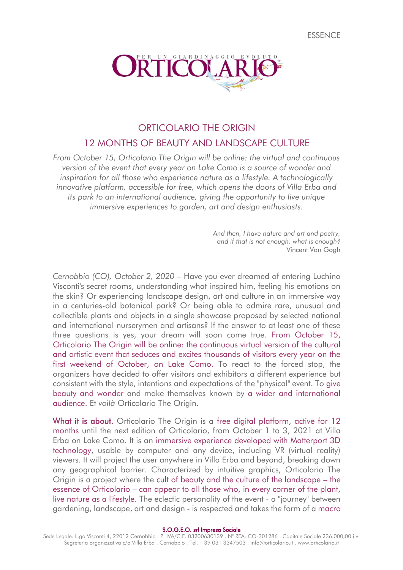**FSSENCE** 



# ORTICOLARIO THE ORIGIN 12 MONTHS OF BEAUTY AND LANDSCAPE CULTURE

*From October 15, Orticolario The Origin will be online: the virtual and continuous version of the event that every year on Lake Como is a source of wonder and inspiration for all those who experience nature as a lifestyle. A technologically*  innovative platform, accessible for free, which opens the doors of Villa Erba and *its park to an international audience, giving the opportunity to live unique immersive experiences to garden, art and design enthusiasts.*

> *And then, I have nature and art and poetry, and if that is not enough, what is enough?* Vincent Van Gogh

*Cernobbio (CO), October 2, 2020* – Have you ever dreamed of entering Luchino Visconti's secret rooms, understanding what inspired him, feeling his emotions on the skin? Or experiencing landscape design, art and culture in an immersive way in a centuries-old botanical park? Or being able to admire rare, unusual and collectible plants and objects in a single showcase proposed by selected national and international nurserymen and artisans? If the answer to at least one of these three questions is yes, your dream will soon come true. From October 15, Orticolario The Origin will be online: the continuous virtual version of the cultural and artistic event that seduces and excites thousands of visitors every year on the first weekend of October, on Lake Como. To react to the forced stop, the organizers have decided to offer visitors and exhibitors a different experience but consistent with the style, intentions and expectations of the "physical" event. To give beauty and wonder and make themselves known by a wider and international audience. Et *voilà* Orticolario The Origin.

What it is about. Orticolario The Origin is a free digital platform, active for 12 months until the next edition of Orticolario, from October 1 to 3, 2021 at Villa Erba on Lake Como. It is an immersive experience developed with Matterport 3D technology, usable by computer and any device, including VR (virtual reality) viewers. It will project the user anywhere in Villa Erba and beyond, breaking down any geographical barrier. Characterized by intuitive graphics, Orticolario The Origin is a project where the cult of beauty and the culture of the landscape – the essence of Orticolario – can appear to all those who, in every corner of the plant, live nature as a lifestyle. The eclectic personality of the event - a "journey" between gardening, landscape, art and design - is respected and takes the form of a macro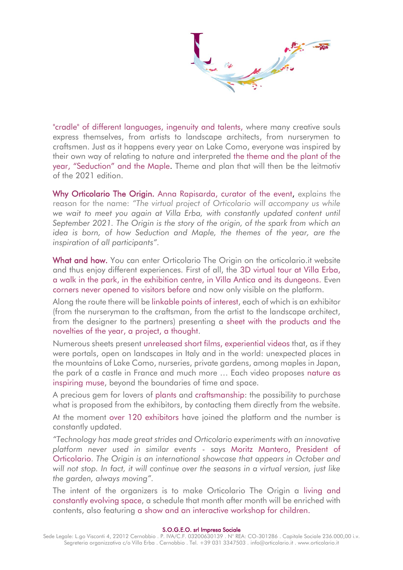"cradle" of different languages, ingenuity and talents, where many creative souls express themselves, from artists to landscape architects, from nurserymen to craftsmen. Just as it happens every year on Lake Como, everyone was inspired by their own way of relating to nature and interpreted the theme and the plant of the year, "Seduction" and the Maple. Theme and plan that will then be the leitmotiv of the 2021 edition.

Why Orticolario The Origin. Anna Rapisarda, curator of the event, explains the reason for the name: *"The virtual project of Orticolario will accompany us while* we wait to meet you again at Villa Erba, with constantly updated content until *September 2021. The Origin is the story of the origin, of the spark from which an idea is born, of how Seduction and Maple, the themes of the year, are the inspiration of all participants".*

What and how. You can enter Orticolario The Origin on the orticolario.it website and thus enjoy different experiences. First of all, the 3D virtual tour at Villa Erba, a walk in the park, in the exhibition centre, in Villa Antica and its dungeons. Even corners never opened to visitors before and now only visible on the platform.

Along the route there will be linkable points of interest, each of which is an exhibitor (from the nurseryman to the craftsman, from the artist to the landscape architect, from the designer to the partners) presenting a sheet with the products and the novelties of the year, a project, a thought.

Numerous sheets present unreleased short films, experiential videos that, as if they were portals, open on landscapes in Italy and in the world: unexpected places in the mountains of Lake Como, nurseries, private gardens, among maples in Japan, the park of a castle in France and much more … Each video proposes nature as inspiring muse, beyond the boundaries of time and space.

A precious gem for lovers of plants and craftsmanship: the possibility to purchase what is proposed from the exhibitors, by contacting them directly from the website.

At the moment over 120 exhibitors have joined the platform and the number is constantly updated.

*"Technology has made great strides and Orticolario experiments with an innovative platform never used in similar events* - says Moritz Mantero, President of Orticolario. *The Origin is an international showcase that appears in October and will not stop. In fact, it will continue over the seasons in a virtual version, just like the garden, always moving".*

The intent of the organizers is to make Orticolario The Origin a living and constantly evolving space, a schedule that month after month will be enriched with contents, also featuring a show and an interactive workshop for children.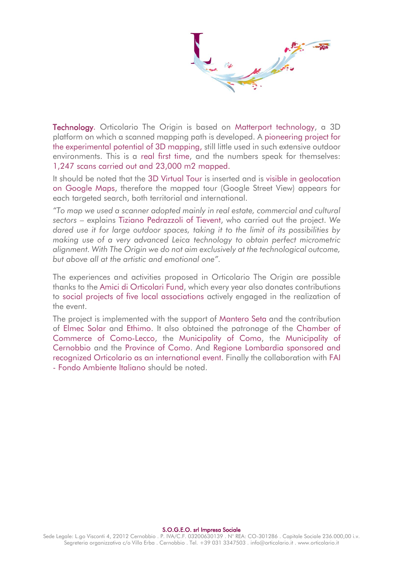**Technology.** Orticolario The Origin is based on Matterport technology, a 3D platform on which a scanned mapping path is developed. A pioneering project for the experimental potential of 3D mapping, still little used in such extensive outdoor environments. This is a real first time, and the numbers speak for themselves: 1,247 scans carried out and 23,000 m2 mapped.

It should be noted that the 3D Virtual Tour is inserted and is visible in geolocation on Google Maps, therefore the mapped tour (Google Street View) appears for each targeted search, both territorial and international.

*"To map we used a scanner adopted mainly in real estate, commercial and cultural sectors* – explains Tiziano Pedrazzoli of Tievent, who carried out the project. *We dared use it for large outdoor spaces, taking it to the limit of its possibilities by making use of a very advanced Leica technology to obtain perfect micrometric alignment. With The Origin we do not aim exclusively at the technological outcome, but above all at the artistic and emotional one".* 

The experiences and activities proposed in Orticolario The Origin are possible thanks to the Amici di Orticolari Fund, which every year also donates contributions to social projects of five local associations actively engaged in the realization of the event.

The project is implemented with the support of Mantero Seta and the contribution of Elmec Solar and Ethimo. It also obtained the patronage of the Chamber of Commerce of Como-Lecco, the Municipality of Como, the Municipality of Cernobbio and the Province of Como. And Regione Lombardia sponsored and recognized Orticolario as an international event. Finally the collaboration with FAI - Fondo Ambiente Italiano should be noted.